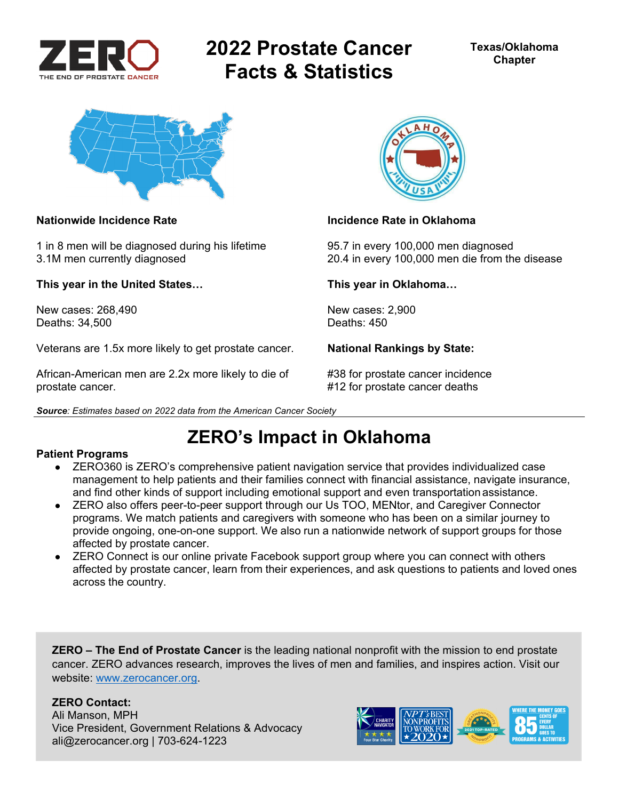

# **2022 Prostate Cancer Facts & Statistics**



1 in 8 men will be diagnosed during his lifetime 95.7 in every 100,000 men diagnosed

**This year in the United States… This year in Oklahoma…** 

New cases: 268,490 New cases: 2,900<br>Deaths: 34.500 Deaths: 450 Deaths: 34,500

Veterans are 1.5x more likely to get prostate cancer. **National Rankings by State:** 

African-American men are 2.2x more likely to die of #38 for prostate cancer incidence prostate cancer. #12 for prostate cancer deaths





### **Nationwide Incidence Rate Incidence Rate in Oklahoma**

3.1M men currently diagnosed 20.4 in every 100,000 men die from the disease

## **ZERO's Impact in Oklahoma**

### **Patient Programs**

- ZERO360 is ZERO's comprehensive patient navigation service that provides individualized case management to help patients and their families connect with financial assistance, navigate insurance, and find other kinds of support including emotional support and even transportation assistance.
- ZERO also offers peer-to-peer support through our Us TOO, MENtor, and Caregiver Connector programs. We match patients and caregivers with someone who has been on a similar journey to provide ongoing, one-on-one support. We also run a nationwide network of support groups for those affected by prostate cancer.
- ZERO Connect is our online private Facebook support group where you can connect with others affected by prostate cancer, learn from their experiences, and ask questions to patients and loved ones across the country.

**ZERO – The End of Prostate Cancer** is the leading national nonprofit with the mission to end prostate cancer. ZERO advances research, improves the lives of men and families, and inspires action. Visit our website: www.zerocancer.org.

### **ZERO Contact:**

Ali Manson, MPH Vice President, Government Relations & Advocacy ali@zerocancer.org | 703-624-1223